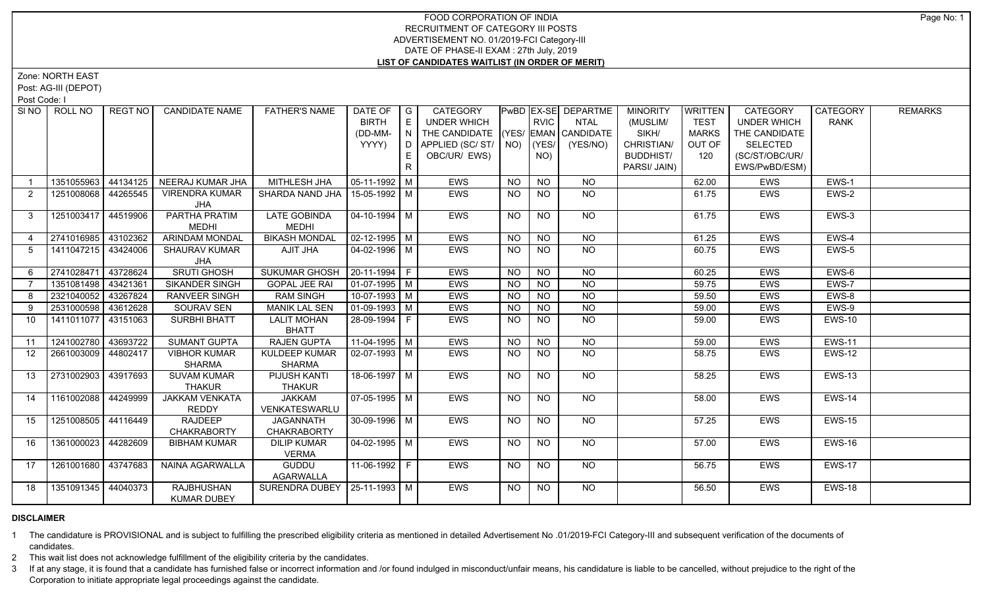## FOOD CORPORATION OF INDIA RECRUITMENT OF CATEGORY III POSTS ADVERTISEMENT NO. 01/2019-FCI Category-III DATE OF PHASE-II EXAM : 27th July, 2019 **LIST OF CANDIDATES WAITLIST (IN ORDER OF MERIT)**

Zone: NORTH EAST

Post: AG-III (DEPOT)

Post Code: I

|                | SINO   ROLL NO      | REGT NO  | <b>CANDIDATE NAME</b>                   | <b>FATHER'S NAME</b>                   | DATE OF<br><b>BIRTH</b><br>(DD-MM-<br>YYYY) | $\overline{\phantom{a}}$ G<br>E<br>$\mathsf{N}$ | <b>CATEGORY</b><br>UNDER WHICH<br>THE CANDIDATE (YES/ EMAN CANDIDATE<br>D APPLIED (SC/ ST/ NO) |                 | <b>RVIC</b><br>(YES/ | <b>PwBD EX-SE DEPARTME</b><br><b>NTAL</b><br>(YES/NO) | <b>MINORITY</b><br>(MUSLIM/<br>SIKH/<br>CHRISTIAN/ | WRITTEN<br><b>TEST</b><br><b>MARKS</b><br>OUT OF | <b>CATEGORY</b><br><b>UNDER WHICH</b><br>THE CANDIDATE<br>SELECTED | CATEGORY<br><b>RANK</b> | <b>REMARKS</b> |
|----------------|---------------------|----------|-----------------------------------------|----------------------------------------|---------------------------------------------|-------------------------------------------------|------------------------------------------------------------------------------------------------|-----------------|----------------------|-------------------------------------------------------|----------------------------------------------------|--------------------------------------------------|--------------------------------------------------------------------|-------------------------|----------------|
|                |                     |          |                                         |                                        |                                             | E.<br>$\mathsf{R}$                              | OBC/UR/ EWS)                                                                                   |                 | NO)                  |                                                       | <b>BUDDHIST/</b><br>PARSI/ JAIN)                   | 120                                              | (SC/ST/OBC/UR/<br>EWS/PwBD/ESM)                                    |                         |                |
|                | 1351055963          | 44134125 | NEERAJ KUMAR JHA                        | MITHLESH JHA                           | 05-11-1992   M                              |                                                 | <b>EWS</b>                                                                                     | <b>NO</b>       | <b>NO</b>            | <b>NO</b>                                             |                                                    | 62.00                                            | EWS                                                                | EWS-1                   |                |
| 2              | 1251008068          | 44265545 | <b>VIRENDRA KUMAR</b><br>JHA            | SHARDA NAND JHA   15-05-1992   M       |                                             |                                                 | <b>EWS</b>                                                                                     | NO              | NO                   | NO.                                                   |                                                    | 61.75                                            | EWS                                                                | EWS-2                   |                |
| 3              | 1251003417          | 44519906 | PARTHA PRATIM<br><b>MEDHI</b>           | <b>LATE GOBINDA</b><br><b>MEDHI</b>    | $04 - 10 - 1994$ M                          |                                                 | <b>EWS</b>                                                                                     | NO              | NO                   | NO                                                    |                                                    | 61.75                                            | EWS                                                                | EWS-3                   |                |
| $\overline{4}$ | 2741016985          | 43102362 | <b>ARINDAM MONDAL</b>                   | <b>BIKASH MONDAL</b>                   | $\sqrt{02-12-1995}$ M                       |                                                 | <b>EWS</b>                                                                                     | <b>NO</b>       | <b>NO</b>            | NO.                                                   |                                                    | 61.25                                            | EWS                                                                | EWS-4                   |                |
| -5             | 1411047215          | 43424006 | <b>SHAURAV KUMAR</b><br>JHA             | AJIT JHA                               | $04 - 02 - 1996$ M                          |                                                 | <b>EWS</b>                                                                                     | NO.             | <b>NO</b>            | NO.                                                   |                                                    | 60.75                                            | <b>EWS</b>                                                         | EWS-5                   |                |
| 6              | 2741028471          | 43728624 | <b>SRUTI GHOSH</b>                      | <b>SUKUMAR GHOSH</b>                   | $20-11-1994$ F                              |                                                 | EWS                                                                                            | <b>NO</b>       | $\overline{NO}$      | <b>NO</b>                                             |                                                    | 60.25                                            | <b>EWS</b>                                                         | $EWS-6$                 |                |
|                | 1351081498          | 43421361 | <b>SIKANDER SINGH</b>                   | <b>GOPAL JEE RAI</b>                   | 01-07-1995 M                                |                                                 | <b>EWS</b>                                                                                     | NO.             | <b>NO</b>            | <b>NO</b>                                             |                                                    | 59.75                                            | <b>EWS</b>                                                         | EWS-7                   |                |
| 8              | 2321040052          | 43267824 | <b>RANVEER SINGH</b>                    | <b>RAM SINGH</b>                       | $10-07-1993$ M                              |                                                 | <b>EWS</b>                                                                                     | $\overline{NO}$ | N <sub>O</sub>       | $\overline{NO}$                                       |                                                    | 59.50                                            | EWS                                                                | EWS-8                   |                |
| 9              | 2531000598          | 43612628 | SOURAV SEN                              | <b>MANIK LAL SEN</b>                   | $\sqrt{01-09-1993}$ M                       |                                                 | EWS                                                                                            | <b>NO</b>       | <b>NO</b>            | $\overline{NO}$                                       |                                                    | 59.00                                            | EWS                                                                | EWS-9                   |                |
| 10             | 1411011077          | 43151063 | <b>SURBHI BHATT</b>                     | <b>LALIT MOHAN</b><br><b>BHATT</b>     | 28-09-1994 F                                |                                                 | EWS                                                                                            | <b>NO</b>       | <b>NO</b>            | N <sub>O</sub>                                        |                                                    | 59.00                                            | EWS                                                                | <b>EWS-10</b>           |                |
| 11             | 1241002780          | 43693722 | <b>SUMANT GUPTA</b>                     | <b>RAJEN GUPTA</b>                     | $11-04-1995$ M                              |                                                 | EWS                                                                                            | <b>NO</b>       | <b>NO</b>            | $N$ <sup>O</sup>                                      |                                                    | 59.00                                            | EWS                                                                | <b>EWS-11</b>           |                |
| 12             | 2661003009          | 44802417 | <b>VIBHOR KUMAR</b><br><b>SHARMA</b>    | KULDEEP KUMAR<br><b>SHARMA</b>         | 02-07-1993   M                              |                                                 | <b>EWS</b>                                                                                     | NO              | <b>NO</b>            | NO.                                                   |                                                    | 58.75                                            | EWS                                                                | <b>EWS-12</b>           |                |
| 13             | 2731002903          | 43917693 | <b>SUVAM KUMAR</b><br><b>THAKUR</b>     | PIJUSH KANTI<br><b>THAKUR</b>          | 18-06-1997   M                              |                                                 | <b>EWS</b>                                                                                     | NO.             | NO.                  | NO.                                                   |                                                    | 58.25                                            | <b>EWS</b>                                                         | <b>EWS-13</b>           |                |
| 14             | 1161002088          | 44249999 | <b>JAKKAM VENKATA</b><br>REDDY          | <b>JAKKAM</b><br>VENKATESWARLU         | $07-05-1995$ M                              |                                                 | <b>EWS</b>                                                                                     | <b>NO</b>       | <b>NO</b>            | NO.                                                   |                                                    | 58.00                                            | EWS                                                                | EWS-14                  |                |
| 15             | 1251008505          | 44116449 | <b>RAJDEEP</b><br><b>CHAKRABORTY</b>    | <b>JAGANNATH</b><br><b>CHAKRABORTY</b> | 30-09-1996 M                                |                                                 | EWS                                                                                            | <b>NO</b>       | <b>NO</b>            | NO.                                                   |                                                    | 57.25                                            | EWS                                                                | <b>EWS-15</b>           |                |
| 16             | 1361000023          | 44282609 | <b>BIBHAM KUMAR</b>                     | <b>DILIP KUMAR</b><br><b>VERMA</b>     | $04 - 02 - 1995$ M                          |                                                 | <b>EWS</b>                                                                                     | NO              | $\overline{NO}$      | NO                                                    |                                                    | 57.00                                            | EWS                                                                | <b>EWS-16</b>           |                |
| 17             | 1261001680          | 43747683 | NAINA AGARWALLA                         | GUDDU<br><b>AGARWALLA</b>              | 11-06-1992 F                                |                                                 | <b>EWS</b>                                                                                     | NO              | <b>NO</b>            | NO.                                                   |                                                    | 56.75                                            | EWS                                                                | <b>EWS-17</b>           |                |
| 18             | 1351091345 44040373 |          | <b>RAJBHUSHAN</b><br><b>KUMAR DUBEY</b> | SURENDRA DUBEY   25-11-1993   M        |                                             |                                                 | <b>EWS</b>                                                                                     | NO.             | NO.                  | NO.                                                   |                                                    | 56.50                                            | <b>EWS</b>                                                         | <b>EWS-18</b>           |                |

## **DISCLAIMER**

1 The candidature is PROVISIONAL and is subject to fulfilling the prescribed eligibility criteria as mentioned in detailed Advertisement No .01/2019-FCI Category-III and subsequent verification of the documents of candidates.

2 This wait list does not acknowledge fulfillment of the eligibility criteria by the candidates.

3 If at any stage, it is found that a candidate has furnished false or incorrect information and /or found indulged in misconduct/unfair means, his candidature is liable to be cancelled, without prejudice to the right of t Corporation to initiate appropriate legal proceedings against the candidate.

Page No: 1